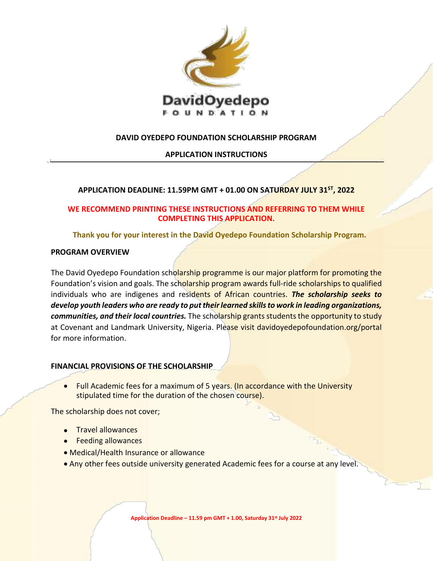

# **DAVID OYEDEPO FOUNDATION SCHOLARSHIP PROGRAM**

## **APPLICATION INSTRUCTIONS**

## **APPLICATION DEADLINE: 11.59PM GMT + 01.00 ON SATURDAY JULY 31ST, 2022**

# **WE RECOMMEND PRINTING THESE INSTRUCTIONS AND REFERRING TO THEM WHILE COMPLETING THIS APPLICATION.**

**Thank you for your interest in the David Oyedepo Foundation Scholarship Program.**

## **PROGRAM OVERVIEW**

The David Oyedepo Foundation scholarship programme is our major platform for promoting the Foundation's vision and goals. The scholarship program awards full-ride scholarships to qualified individuals who are indigenes and residents of African countries. *The scholarship seeks to develop youth leaders who are ready to put their learned skills to work in leading organizations, communities, and their local countries.* The scholarship grants students the opportunity to study at Covenant and Landmark University, Nigeria. Please visit davidoyedepofoundation.org/portal for more information.

## **FINANCIAL PROVISIONS OF THE SCHOLARSHIP**

• Full Academic fees for a maximum of 5 years. (In accordance with the University stipulated time for the duration of the chosen course).

The scholarship does not cover;

- Travel allowances
- Feeding allowances
- Medical/Health Insurance or allowance
- Any other fees outside university generated Academic fees for a course at any level.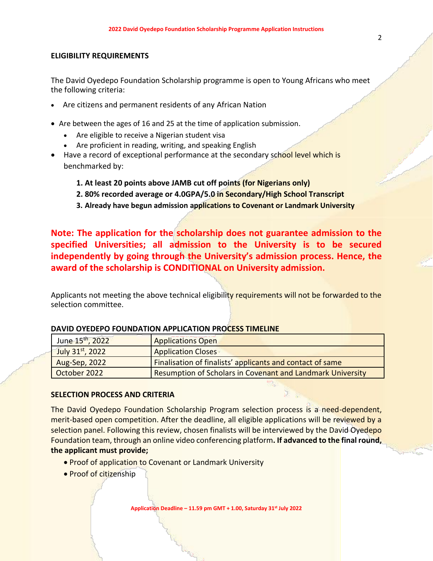## **ELIGIBILITY REQUIREMENTS**

The David Oyedepo Foundation Scholarship programme is open to Young Africans who meet the following criteria:

- Are citizens and permanent residents of any African Nation
- Are between the ages of 16 and 25 at the time of application submission.
	- Are eligible to receive a Nigerian student visa
	- Are proficient in reading, writing, and speaking English
- Have a record of exceptional performance at the secondary school level which is benchmarked by:
	- **1. At least 20 points above JAMB cut off points (for Nigerians only)**
	- **2. 80% recorded average or 4.0GPA/5.0 in Secondary/High School Transcript**
	- **3. Already have begun admission applications to Covenant or Landmark University**

**Note: The application for the scholarship does not guarantee admission to the specified Universities; all admission to the University is to be secured independently by going through the University's admission process. Hence, the award of the scholarship is CONDITIONAL on University admission.**

Applicants not meeting the above technical eligibility requirements will not be forwarded to the selection committee.

| June 15 <sup>th</sup> , 2022 | <b>Applications Open</b>                                   |
|------------------------------|------------------------------------------------------------|
| July $31^{st}$ , 2022        | <b>Application Closes</b>                                  |
| Aug-Sep, 2022                | Finalisation of finalists' applicants and contact of same  |
| October 2022                 | Resumption of Scholars in Covenant and Landmark University |

#### **DAVID OYEDEPO FOUNDATION APPLICATION PROCESS TIMELINE**

#### **SELECTION PROCESS AND CRITERIA**

The David Oyedepo Foundation Scholarship Program selection process is a need-dependent, merit-based open competition. After the deadline, all eligible applications will be reviewed by a selection panel. Following this review, chosen finalists will be interviewed by the David Oyedepo Foundation team, through an online video conferencing platform**. If advanced to the final round, the applicant must provide;**

- Proof of application to Covenant or Landmark University
- Proof of citizenship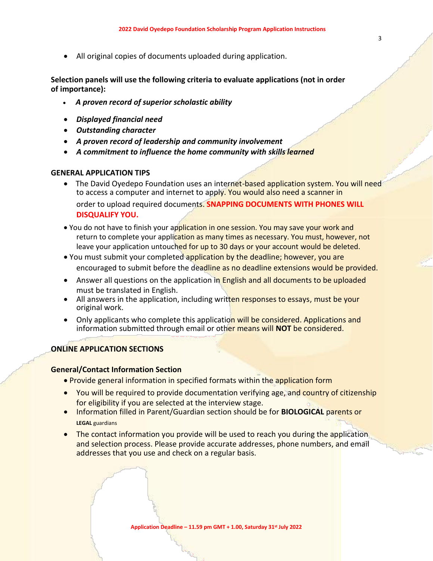• All original copies of documents uploaded during application.

**Selection panels will use the following criteria to evaluate applications (not in order of importance):**

- *A proven record of superior scholastic ability*
- *Displayed financial need*
- *Outstanding character*
- *A proven record of leadership and community involvement*
- *A commitment to influence the home community with skills learned*

## **GENERAL APPLICATION TIPS**

- The David Oyedepo Foundation uses an internet-based application system. You will need to access a computer and internet to apply. You would also need a scanner in order to upload required documents. **SNAPPING DOCUMENTS WITH PHONES WILL DISQUALIFY YOU.**
- You do not have to finish your application in one session. You may save your work and return to complete your application as many times as necessary. You must, however, not leave your application untouched for up to 30 days or your account would be deleted.
- You must submit your completed application by the deadline; however, you are encouraged to submit before the deadline as no deadline extensions would be provided.
- Answer all questions on the application in English and all documents to be uploaded must be translated in English.
- All answers in the application, including written responses to essays, must be your original work.
- Only applicants who complete this application will be considered. Applications and information submitted through email or other means will **NOT** be considered.

## **ONLINE APPLICATION SECTIONS**

## **General/Contact Information Section**

- Provide general information in specified formats within the application form
- You will be required to provide documentation verifying age, and country of citizenship for eligibility if you are selected at the interview stage.
- Information filled in Parent/Guardian section should be for **BIOLOGICAL** parents or **LEGAL** guardians
- The contact information you provide will be used to reach you during the application and selection process. Please provide accurate addresses, phone numbers, and email addresses that you use and check on a regular basis.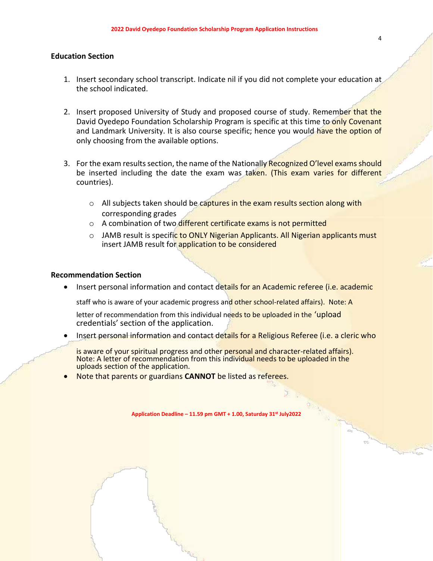## **Education Section**

- 1. Insert secondary school transcript. Indicate nil if you did not complete your education at the school indicated.
- 2. Insert proposed University of Study and proposed course of study. Remember that the David Oyedepo Foundation Scholarship Program is specific at this time to only Covenant and Landmark University. It is also course specific; hence you would have the option of only choosing from the available options.
- 3. For the exam results section, the name of the Nationally Recognized O'level exams should be inserted including the date the exam was taken. (This exam varies for different countries).
	- $\circ$  All subjects taken should be captures in the exam results section along with corresponding grades
	- o A combination of two different certificate exams is not permitted
	- o JAMB result is specific to ONLY Nigerian Applicants. All Nigerian applicants must insert JAMB result for application to be considered

## **Recommendation Section**

• Insert personal information and contact details for an Academic referee (i.e. academic

staff who is aware of your academic progress and other school-related affairs). Note: A

letter of recommendation from this individual needs to be uploaded in the 'upload credentials' section of the application.

Insert personal information and contact details for a Religious Referee (i.e. a cleric who

is aware of your spiritual progress and other personal and character-related affairs). Note: A letter of recommendation from this individual needs to be uploaded in the uploads section of the application.

• Note that parents or guardians **CANNOT** be listed as referees.

**Application Deadline – 11.59 pm GMT + 1.00, Saturday 31st July2022**